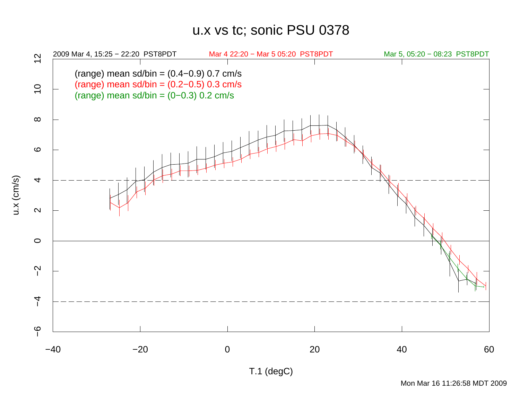## u.x vs tc; sonic PSU 0378



u.x (cm/s)

T.1 (degC)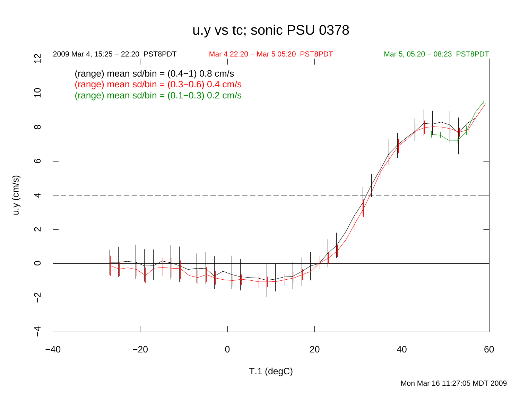## u.y vs tc; sonic PSU 0378